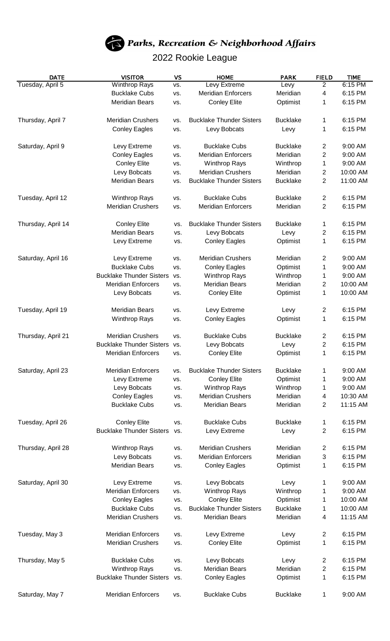

## 2022 Rookie League

| <b>DATE</b>        | <b>VISITOR</b>                  | <b>VS</b> | <b>HOME</b>                     | <b>PARK</b>     | <b>FIELD</b>            | <b>TIME</b> |
|--------------------|---------------------------------|-----------|---------------------------------|-----------------|-------------------------|-------------|
| Tuesday, April 5   | <b>Winthrop Rays</b>            | VS.       | Levy Extreme                    | Levy            | $\overline{2}$          | 6:15 PM     |
|                    | <b>Bucklake Cubs</b>            | VS.       | <b>Meridian Enforcers</b>       | Meridian        | 4                       | 6:15 PM     |
|                    | <b>Meridian Bears</b>           | VS.       | <b>Conley Elite</b>             | Optimist        | 1                       | 6:15 PM     |
| Thursday, April 7  | <b>Meridian Crushers</b>        | VS.       | <b>Bucklake Thunder Sisters</b> | <b>Bucklake</b> | 1                       | 6:15 PM     |
|                    | <b>Conley Eagles</b>            | VS.       | Levy Bobcats                    | Levy            | 1                       | 6:15 PM     |
|                    |                                 |           |                                 |                 |                         |             |
| Saturday, April 9  | Levy Extreme                    | VS.       | <b>Bucklake Cubs</b>            | <b>Bucklake</b> | 2                       | 9:00 AM     |
|                    | <b>Conley Eagles</b>            | VS.       | <b>Meridian Enforcers</b>       | Meridian        | 2                       | 9:00 AM     |
|                    | <b>Conley Elite</b>             | VS.       | <b>Winthrop Rays</b>            | Winthrop        | 1                       | 9:00 AM     |
|                    | Levy Bobcats                    | VS.       | <b>Meridian Crushers</b>        | Meridian        | 2                       | 10:00 AM    |
|                    | <b>Meridian Bears</b>           | VS.       | <b>Bucklake Thunder Sisters</b> | <b>Bucklake</b> | $\overline{2}$          | 11:00 AM    |
| Tuesday, April 12  | <b>Winthrop Rays</b>            | VS.       | <b>Bucklake Cubs</b>            | <b>Bucklake</b> | 2                       | 6:15 PM     |
|                    | <b>Meridian Crushers</b>        | VS.       | <b>Meridian Enforcers</b>       | Meridian        | 2                       | 6:15 PM     |
| Thursday, April 14 | <b>Conley Elite</b>             | VS.       | <b>Bucklake Thunder Sisters</b> | <b>Bucklake</b> | 1                       | 6:15 PM     |
|                    | <b>Meridian Bears</b>           | VS.       |                                 |                 | $\overline{\mathbf{c}}$ | 6:15 PM     |
|                    |                                 |           | Levy Bobcats                    | Levy            |                         |             |
|                    | Levy Extreme                    | VS.       | <b>Conley Eagles</b>            | Optimist        | 1                       | 6:15 PM     |
| Saturday, April 16 | Levy Extreme                    | VS.       | <b>Meridian Crushers</b>        | Meridian        | 2                       | 9:00 AM     |
|                    | <b>Bucklake Cubs</b>            | VS.       | <b>Conley Eagles</b>            | Optimist        | 1                       | 9:00 AM     |
|                    | <b>Bucklake Thunder Sisters</b> | VS.       | <b>Winthrop Rays</b>            | Winthrop        | 1                       | 9:00 AM     |
|                    | <b>Meridian Enforcers</b>       | VS.       | <b>Meridian Bears</b>           | Meridian        | 2                       | 10:00 AM    |
|                    | Levy Bobcats                    | VS.       | <b>Conley Elite</b>             | Optimist        | 1                       | 10:00 AM    |
|                    |                                 |           |                                 |                 |                         |             |
| Tuesday, April 19  | <b>Meridian Bears</b>           | VS.       | Levy Extreme                    | Levy            | 2                       | 6:15 PM     |
|                    | <b>Winthrop Rays</b>            | VS.       | <b>Conley Eagles</b>            | Optimist        | 1                       | 6:15 PM     |
| Thursday, April 21 | <b>Meridian Crushers</b>        | VS.       | <b>Bucklake Cubs</b>            | <b>Bucklake</b> | 2                       | 6:15 PM     |
|                    | <b>Bucklake Thunder Sisters</b> | VS.       | Levy Bobcats                    | Levy            | 2                       | 6:15 PM     |
|                    | <b>Meridian Enforcers</b>       | VS.       | <b>Conley Elite</b>             | Optimist        | 1                       | 6:15 PM     |
|                    | <b>Meridian Enforcers</b>       |           | <b>Bucklake Thunder Sisters</b> |                 |                         | 9:00 AM     |
| Saturday, April 23 |                                 | VS.       |                                 | <b>Bucklake</b> | 1                       |             |
|                    | Levy Extreme                    | VS.       | <b>Conley Elite</b>             | Optimist        | 1                       | 9:00 AM     |
|                    | Levy Bobcats                    | VS.       | <b>Winthrop Rays</b>            | Winthrop        | 1                       | 9:00 AM     |
|                    | <b>Conley Eagles</b>            | VS.       | <b>Meridian Crushers</b>        | Meridian        | 4                       | 10:30 AM    |
|                    | <b>Bucklake Cubs</b>            | VS.       | <b>Meridian Bears</b>           | Meridian        | 2                       | 11:15 AM    |
| Tuesday, April 26  | <b>Conley Elite</b>             | VS.       | <b>Bucklake Cubs</b>            | <b>Bucklake</b> | 1                       | 6:15 PM     |
|                    | <b>Bucklake Thunder Sisters</b> | VS.       | Levy Extreme                    | Levy            | 2                       | 6:15 PM     |
| Thursday, April 28 | <b>Winthrop Rays</b>            | VS.       | <b>Meridian Crushers</b>        | Meridian        | 2                       | 6:15 PM     |
|                    | Levy Bobcats                    | VS.       | <b>Meridian Enforcers</b>       | Meridian        | 3                       | 6:15 PM     |
|                    | <b>Meridian Bears</b>           | VS.       | <b>Conley Eagles</b>            | Optimist        | 1                       | 6:15 PM     |
|                    |                                 |           |                                 |                 |                         |             |
| Saturday, April 30 | Levy Extreme                    | VS.       | Levy Bobcats                    | Levy            | 1                       | 9:00 AM     |
|                    | <b>Meridian Enforcers</b>       | VS.       | <b>Winthrop Rays</b>            | Winthrop        | 1                       | 9:00 AM     |
|                    | <b>Conley Eagles</b>            | VS.       | <b>Conley Elite</b>             | Optimist        | 1                       | 10:00 AM    |
|                    | <b>Bucklake Cubs</b>            | VS.       | <b>Bucklake Thunder Sisters</b> | <b>Bucklake</b> | 1                       | 10:00 AM    |
|                    | <b>Meridian Crushers</b>        | VS.       | Meridian Bears                  | Meridian        | 4                       | 11:15 AM    |
| Tuesday, May 3     | <b>Meridian Enforcers</b>       | VS.       | Levy Extreme                    | Levy            | 2                       | 6:15 PM     |
|                    | <b>Meridian Crushers</b>        | VS.       | <b>Conley Elite</b>             | Optimist        | 1                       | 6:15 PM     |
| Thursday, May 5    | <b>Bucklake Cubs</b>            | VS.       | Levy Bobcats                    | Levy            | 2                       | 6:15 PM     |
|                    | <b>Winthrop Rays</b>            | VS.       | <b>Meridian Bears</b>           | Meridian        | 2                       | 6:15 PM     |
|                    | <b>Bucklake Thunder Sisters</b> | VS.       | <b>Conley Eagles</b>            | Optimist        | 1                       | 6:15 PM     |
|                    |                                 |           |                                 |                 |                         |             |
| Saturday, May 7    | <b>Meridian Enforcers</b>       | VS.       | <b>Bucklake Cubs</b>            | <b>Bucklake</b> | 1                       | 9:00 AM     |